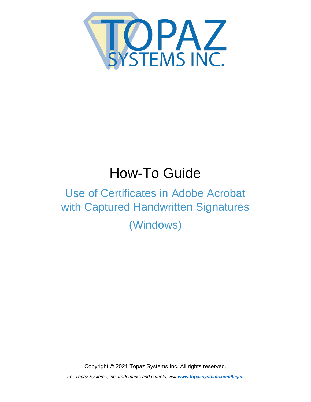<span id="page-0-0"></span>

## How-To Guide

## Use of Certificates in Adobe Acrobat with Captured Handwritten Signatures

(Windows)

Copyright © 2021 Topaz Systems Inc. All rights reserved.

*For Topaz Systems, Inc. trademarks and patents, visit [www.topazsystems.com/legal.](http://www.topazsystems.com/termsconditions.html)*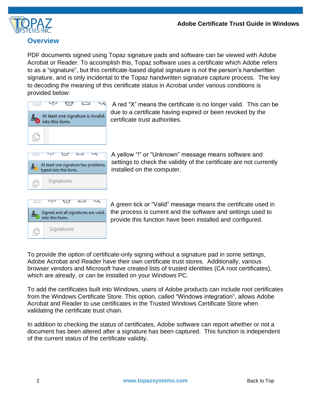

## **Overview**

PDF documents signed using Topaz signature pads and software can be viewed with Adobe Acrobat or Reader. To accomplish this, Topaz software uses a certificate which Adobe refers to as a "signature", but this certificate-based digital signature is not the person's handwritten signature, and is only incidental to the Topaz handwritten signature capture process. The key to decoding the meaning of this certificate status in Acrobat under various conditions is provided below:



A red "X" means the certificate is no longer valid. This can be due to a certificate having expired or been revoked by the certificate trust authorities.

| At least one signature has problems.<br>typed into this form. |  |            |  |  |  |  |
|---------------------------------------------------------------|--|------------|--|--|--|--|
|                                                               |  | Signatures |  |  |  |  |

A yellow "!" or "Unknown" message means software and settings to check the validity of the certificate are not currently installed on the computer.



A green tick or "Valid" message means the certificate used in the process is current and the software and settings used to provide this function have been installed and configured.

To provide the option of certificate-only signing without a signature pad in some settings, Adobe Acrobat and Reader have their own certificate trust stores. Additionally, various browser vendors and Microsoft have created lists of trusted identities (CA root certificates), which are already, or can be installed on your Windows PC.

To add the certificates built into Windows, users of Adobe products can include root certificates from the Windows Certificate Store. This option, called "Windows integration", allows Adobe Acrobat and Reader to use certificates in the Trusted Windows Certificate Store when validating the certificate trust chain.

In addition to checking the status of certificates, Adobe software can report whether or not a document has been altered after a signature has been captured. This function is independent of the current status of the certificate validity.